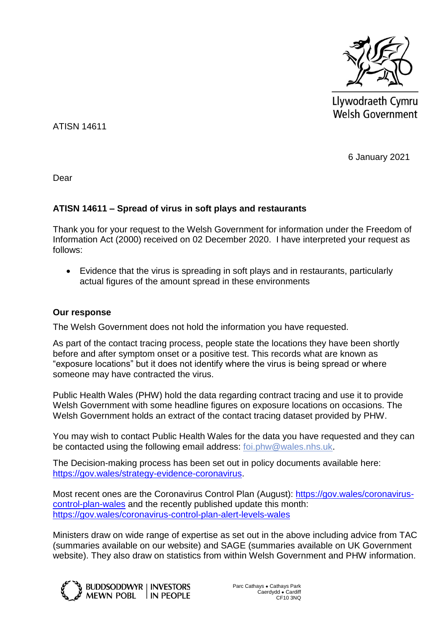

Llywodraeth Cymru **Welsh Government** 

ATISN 14611

6 January 2021

Dear

## **ATISN 14611 – Spread of virus in soft plays and restaurants**

Thank you for your request to the Welsh Government for information under the Freedom of Information Act (2000) received on 02 December 2020. I have interpreted your request as follows:

 Evidence that the virus is spreading in soft plays and in restaurants, particularly actual figures of the amount spread in these environments

### **Our response**

The Welsh Government does not hold the information you have requested.

As part of the contact tracing process, people state the locations they have been shortly before and after symptom onset or a positive test. This records what are known as "exposure locations" but it does not identify where the virus is being spread or where someone may have contracted the virus.

Public Health Wales (PHW) hold the data regarding contract tracing and use it to provide Welsh Government with some headline figures on exposure locations on occasions. The Welsh Government holds an extract of the contact tracing dataset provided by PHW.

You may wish to contact Public Health Wales for the data you have requested and they can be contacted using the following email address: [foi.phw@wales.nhs.uk.](mailto:foi.phw@wales.nhs.uk)

The Decision-making process has been set out in policy documents available here: [https://gov.wales/strategy-evidence-coronavirus.](https://eur01.safelinks.protection.outlook.com/?url=https%3A%2F%2Fgov.wales%2Fstrategy-evidence-coronavirus&data=04%7C01%7CIan.Turner%40gov.wales%7C8ab89282f96f46568cfe08d8a5980745%7Ca2cc36c592804ae78887d06dab89216b%7C0%7C0%7C637441419654156561%7CUnknown%7CTWFpbGZsb3d8eyJWIjoiMC4wLjAwMDAiLCJQIjoiV2luMzIiLCJBTiI6Ik1haWwiLCJXVCI6Mn0%3D%7C1000&sdata=VxtGKplwKd8JWZLxiCOJmBFgnayl4RvjyoDvjRpT7IU%3D&reserved=0)

Most recent ones are the Coronavirus Control Plan (August): [https://gov.wales/coronavirus](https://eur01.safelinks.protection.outlook.com/?url=https%3A%2F%2Fgov.wales%2Fcoronavirus-control-plan-wales&data=04%7C01%7CIan.Turner%40gov.wales%7C8ab89282f96f46568cfe08d8a5980745%7Ca2cc36c592804ae78887d06dab89216b%7C0%7C0%7C637441419654156561%7CUnknown%7CTWFpbGZsb3d8eyJWIjoiMC4wLjAwMDAiLCJQIjoiV2luMzIiLCJBTiI6Ik1haWwiLCJXVCI6Mn0%3D%7C1000&sdata=gpmm9uqwJrdnudlLlhFDEqEhXUZiLLoc6ag7hK0JJro%3D&reserved=0)[control-plan-wales](https://eur01.safelinks.protection.outlook.com/?url=https%3A%2F%2Fgov.wales%2Fcoronavirus-control-plan-wales&data=04%7C01%7CIan.Turner%40gov.wales%7C8ab89282f96f46568cfe08d8a5980745%7Ca2cc36c592804ae78887d06dab89216b%7C0%7C0%7C637441419654156561%7CUnknown%7CTWFpbGZsb3d8eyJWIjoiMC4wLjAwMDAiLCJQIjoiV2luMzIiLCJBTiI6Ik1haWwiLCJXVCI6Mn0%3D%7C1000&sdata=gpmm9uqwJrdnudlLlhFDEqEhXUZiLLoc6ag7hK0JJro%3D&reserved=0) and the recently published update this month: [https://gov.wales/coronavirus-control-plan-alert-levels-wales](https://eur01.safelinks.protection.outlook.com/?url=https%3A%2F%2Fgov.wales%2Fcoronavirus-control-plan-alert-levels-wales&data=04%7C01%7CIan.Turner%40gov.wales%7C8ab89282f96f46568cfe08d8a5980745%7Ca2cc36c592804ae78887d06dab89216b%7C0%7C0%7C637441419654166519%7CUnknown%7CTWFpbGZsb3d8eyJWIjoiMC4wLjAwMDAiLCJQIjoiV2luMzIiLCJBTiI6Ik1haWwiLCJXVCI6Mn0%3D%7C1000&sdata=%2BVaZG08erCHh8HYdy68mTNggWhNgWLRWK3CMDGvPn4I%3D&reserved=0)

Ministers draw on wide range of expertise as set out in the above including advice from TAC (summaries available on our website) and SAGE (summaries available on UK Government website). They also draw on statistics from within Welsh Government and PHW information.

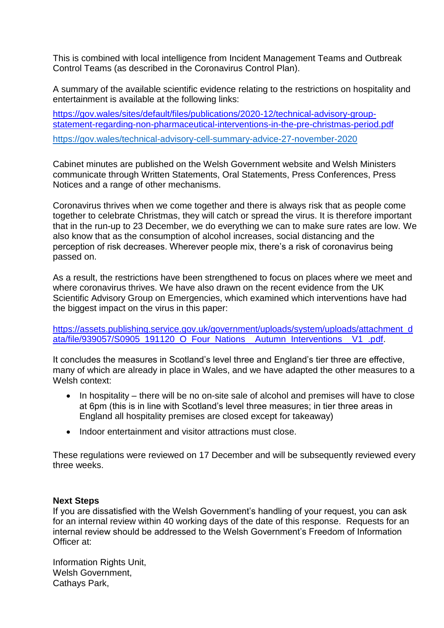This is combined with local intelligence from Incident Management Teams and Outbreak Control Teams (as described in the Coronavirus Control Plan).

A summary of the available scientific evidence relating to the restrictions on hospitality and entertainment is available at the following links:

[https://gov.wales/sites/default/files/publications/2020-12/technical-advisory-group](https://gov.wales/sites/default/files/publications/2020-12/technical-advisory-group-statement-regarding-non-pharmaceutical-interventions-in-the-pre-christmas-period.pdf)[statement-regarding-non-pharmaceutical-interventions-in-the-pre-christmas-period.pdf](https://gov.wales/sites/default/files/publications/2020-12/technical-advisory-group-statement-regarding-non-pharmaceutical-interventions-in-the-pre-christmas-period.pdf) <https://gov.wales/technical-advisory-cell-summary-advice-27-november-2020>

Cabinet minutes are published on the Welsh Government website and Welsh Ministers communicate through Written Statements, Oral Statements, Press Conferences, Press Notices and a range of other mechanisms.

Coronavirus thrives when we come together and there is always risk that as people come together to celebrate Christmas, they will catch or spread the virus. It is therefore important that in the run-up to 23 December, we do everything we can to make sure rates are low. We also know that as the consumption of alcohol increases, social distancing and the perception of risk decreases. Wherever people mix, there's a risk of coronavirus being passed on.

As a result, the restrictions have been strengthened to focus on places where we meet and where coronavirus thrives. We have also drawn on the recent evidence from the UK Scientific Advisory Group on Emergencies, which examined which interventions have had the biggest impact on the virus in this paper:

[https://assets.publishing.service.gov.uk/government/uploads/system/uploads/attachment\\_d](https://eur01.safelinks.protection.outlook.com/?url=https%3A%2F%2Fassets.publishing.service.gov.uk%2Fgovernment%2Fuploads%2Fsystem%2Fuploads%2Fattachment_data%2Ffile%2F939057%2FS0905_191120_O_Four_Nations__Autumn_Interventions__V1_.pdf&data=04%7C01%7CRuth.Burrows%40gov.wales%7Cf26fd9177d2146b335f508d896a81f17%7Ca2cc36c592804ae78887d06dab89216b%7C0%7C0%7C637424996101145585%7CUnknown%7CTWFpbGZsb3d8eyJWIjoiMC4wLjAwMDAiLCJQIjoiV2luMzIiLCJBTiI6Ik1haWwiLCJXVCI6Mn0%3D%7C1000&sdata=HZ7RNOKXrhYqUzwkn3S2h%2BNNnKJGsqR%2BJTodAPk%2Bncw%3D&reserved=0) [ata/file/939057/S0905\\_191120\\_O\\_Four\\_Nations\\_\\_Autumn\\_Interventions\\_\\_V1\\_.pdf.](https://eur01.safelinks.protection.outlook.com/?url=https%3A%2F%2Fassets.publishing.service.gov.uk%2Fgovernment%2Fuploads%2Fsystem%2Fuploads%2Fattachment_data%2Ffile%2F939057%2FS0905_191120_O_Four_Nations__Autumn_Interventions__V1_.pdf&data=04%7C01%7CRuth.Burrows%40gov.wales%7Cf26fd9177d2146b335f508d896a81f17%7Ca2cc36c592804ae78887d06dab89216b%7C0%7C0%7C637424996101145585%7CUnknown%7CTWFpbGZsb3d8eyJWIjoiMC4wLjAwMDAiLCJQIjoiV2luMzIiLCJBTiI6Ik1haWwiLCJXVCI6Mn0%3D%7C1000&sdata=HZ7RNOKXrhYqUzwkn3S2h%2BNNnKJGsqR%2BJTodAPk%2Bncw%3D&reserved=0)

It concludes the measures in Scotland's level three and England's tier three are effective, many of which are already in place in Wales, and we have adapted the other measures to a Welsh context:

- $\bullet$  In hospitality there will be no on-site sale of alcohol and premises will have to close at 6pm (this is in line with Scotland's level three measures; in tier three areas in England all hospitality premises are closed except for takeaway)
- Indoor entertainment and visitor attractions must close.

These regulations were reviewed on 17 December and will be subsequently reviewed every three weeks.

#### **Next Steps**

If you are dissatisfied with the Welsh Government's handling of your request, you can ask for an internal review within 40 working days of the date of this response. Requests for an internal review should be addressed to the Welsh Government's Freedom of Information Officer at:

Information Rights Unit, Welsh Government, Cathays Park,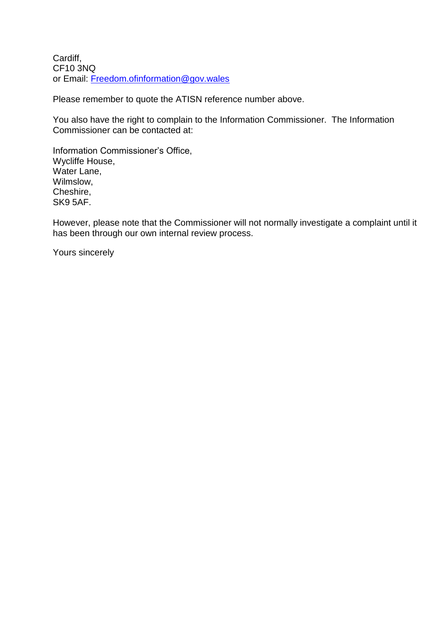Cardiff, CF10 3NQ or Email: [Freedom.ofinformation@gov.wales](mailto:Freedom.ofinformation@gov.wales)

Please remember to quote the ATISN reference number above.

You also have the right to complain to the Information Commissioner. The Information Commissioner can be contacted at:

Information Commissioner's Office, Wycliffe House, Water Lane, Wilmslow, Cheshire, SK9 5AF.

However, please note that the Commissioner will not normally investigate a complaint until it has been through our own internal review process.

Yours sincerely